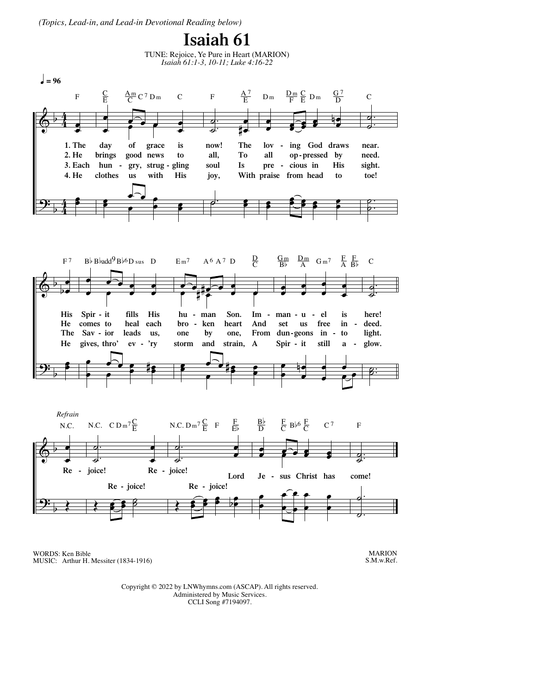*(Topics, Lead-in, and Lead-in Devotional Reading below)*

## **Isaiah 61**





WORDS: Ken Bible MUSIC: Arthur H. Messiter (1834-1916)

MARION S.M.w.Ref.

Copyright © 2022 by LNWhymns.com (ASCAP). All rights reserved. Administered by Music Services. CCLI Song #7194097.